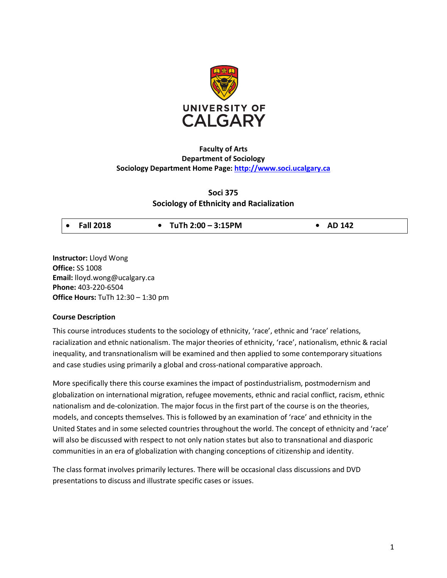

# **Faculty of Arts Department of Sociology Sociology Department Home Page: http://www.soci.ucalgary.ca**

# **Soci 375 Sociology of Ethnicity and Racialization**

**Instructor:** Lloyd Wong **Office:** SS 1008 **Email:** lloyd.wong@ucalgary.ca **Phone:** 403-220-6504 **Office Hours:** TuTh 12:30 – 1:30 pm

### **Course Description**

This course introduces students to the sociology of ethnicity, 'race', ethnic and 'race' relations, racialization and ethnic nationalism. The major theories of ethnicity, 'race', nationalism, ethnic & racial inequality, and transnationalism will be examined and then applied to some contemporary situations and case studies using primarily a global and cross-national comparative approach.

More specifically there this course examines the impact of postindustrialism, postmodernism and globalization on international migration, refugee movements, ethnic and racial conflict, racism, ethnic nationalism and de-colonization. The major focus in the first part of the course is on the theories, models, and concepts themselves. This is followed by an examination of 'race' and ethnicity in the United States and in some selected countries throughout the world. The concept of ethnicity and 'race' will also be discussed with respect to not only nation states but also to transnational and diasporic communities in an era of globalization with changing conceptions of citizenship and identity.

The class format involves primarily lectures. There will be occasional class discussions and DVD presentations to discuss and illustrate specific cases or issues.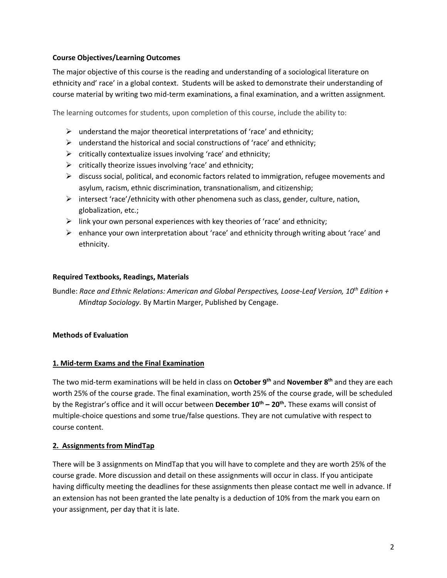## **Course Objectives/Learning Outcomes**

The major objective of this course is the reading and understanding of a sociological literature on ethnicity and' race' in a global context. Students will be asked to demonstrate their understanding of course material by writing two mid-term examinations, a final examination, and a written assignment.

The learning outcomes for students, upon completion of this course, include the ability to:

- $\triangleright$  understand the major theoretical interpretations of 'race' and ethnicity;
- $\triangleright$  understand the historical and social constructions of 'race' and ethnicity;
- $\triangleright$  critically contextualize issues involving 'race' and ethnicity;
- $\triangleright$  critically theorize issues involving 'race' and ethnicity;
- $\triangleright$  discuss social, political, and economic factors related to immigration, refugee movements and asylum, racism, ethnic discrimination, transnationalism, and citizenship;
- $\triangleright$  intersect 'race'/ethnicity with other phenomena such as class, gender, culture, nation, globalization, etc.;
- $\triangleright$  link your own personal experiences with key theories of 'race' and ethnicity;
- $\triangleright$  enhance your own interpretation about 'race' and ethnicity through writing about 'race' and ethnicity.

## **Required Textbooks, Readings, Materials**

Bundle: *Race and Ethnic Relations: American and Global Perspectives, Loose-Leaf Version, 10th Edition + Mindtap Sociology.* By Martin Marger, Published by Cengage.

## **Methods of Evaluation**

## **1. Mid-term Exams and the Final Examination**

The two mid-term examinations will be held in class on **October 9th** and **November 8th** and they are each worth 25% of the course grade. The final examination, worth 25% of the course grade, will be scheduled by the Registrar's office and it will occur between **December 10th – 20th.** These exams will consist of multiple-choice questions and some true/false questions. They are not cumulative with respect to course content.

## **2. Assignments from MindTap**

There will be 3 assignments on MindTap that you will have to complete and they are worth 25% of the course grade. More discussion and detail on these assignments will occur in class. If you anticipate having difficulty meeting the deadlines for these assignments then please contact me well in advance. If an extension has not been granted the late penalty is a deduction of 10% from the mark you earn on your assignment, per day that it is late.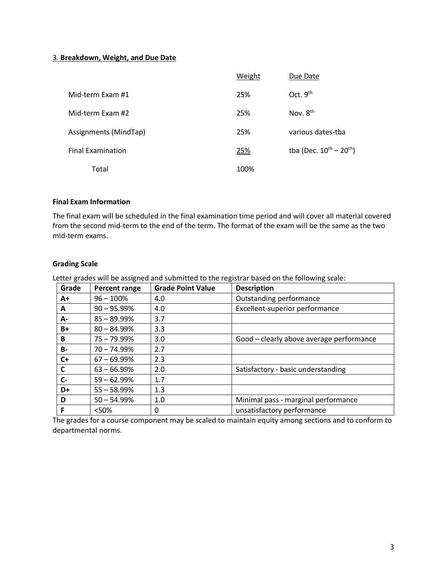### 3. **Breakdown, Weight, and Due Date**

|                          | Weight | Due Date                                      |
|--------------------------|--------|-----------------------------------------------|
| Mid-term Exam #1         | 25%    | Oct. $9th$                                    |
| Mid-term Exam #2         | 25%    | Nov. 8 <sup>th</sup>                          |
| Assignments (MindTap)    | 25%    | various dates-tba                             |
| <b>Final Examination</b> | 25%    | tba (Dec. $10^{\text{th}} - 20^{\text{th}}$ ) |
| Total                    | 100%   |                                               |

## **Final Exam Information**

The final exam will be scheduled in the final examination time period and will cover all material covered from the second mid-term to the end of the term. The format of the exam will be the same as the two mid-term exams.

### **Grading Scale**

Letter grades will be assigned and submitted to the registrar based on the following scale:

| Grade     | <b>Percent range</b> | <b>Grade Point Value</b> | <b>Description</b>                       |
|-----------|----------------------|--------------------------|------------------------------------------|
| $A+$      | $96 - 100\%$         | 4.0                      | Outstanding performance                  |
| A         | $90 - 95.99\%$       | 4.0                      | Excellent-superior performance           |
| A-        | $85 - 89.99\%$       | 3.7                      |                                          |
| $B+$      | $80 - 84.99\%$       | 3.3                      |                                          |
| B         | $75 - 79.99\%$       | 3.0                      | Good - clearly above average performance |
| <b>B-</b> | 70 - 74.99%          | 2.7                      |                                          |
| $C+$      | $67 - 69.99%$        | 2.3                      |                                          |
| C         | $63 - 66.99\%$       | 2.0                      | Satisfactory - basic understanding       |
| $C -$     | $59 - 62.99\%$       | 1.7                      |                                          |
| D+        | $55 - 58.99%$        | 1.3                      |                                          |
| D         | $50 - 54.99%$        | 1.0                      | Minimal pass - marginal performance      |
| F         | <50%                 | 0                        | unsatisfactory performance               |

The grades for a course component may be scaled to maintain equity among sections and to conform to departmental norms.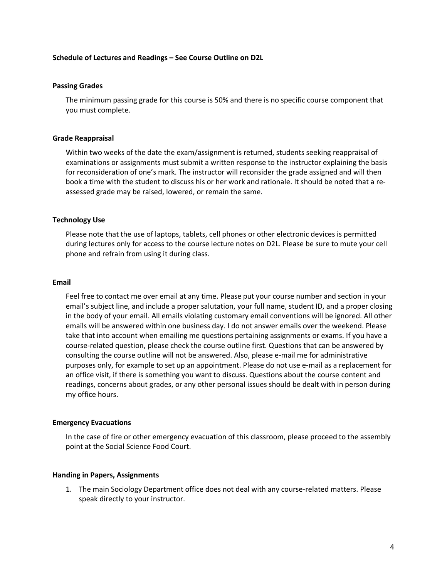### **Schedule of Lectures and Readings – See Course Outline on D2L**

#### **Passing Grades**

The minimum passing grade for this course is 50% and there is no specific course component that you must complete.

#### **Grade Reappraisal**

Within two weeks of the date the exam/assignment is returned, students seeking reappraisal of examinations or assignments must submit a written response to the instructor explaining the basis for reconsideration of one's mark. The instructor will reconsider the grade assigned and will then book a time with the student to discuss his or her work and rationale. It should be noted that a reassessed grade may be raised, lowered, or remain the same.

### **Technology Use**

Please note that the use of laptops, tablets, cell phones or other electronic devices is permitted during lectures only for access to the course lecture notes on D2L. Please be sure to mute your cell phone and refrain from using it during class.

### **Email**

Feel free to contact me over email at any time. Please put your course number and section in your email's subject line, and include a proper salutation, your full name, student ID, and a proper closing in the body of your email. All emails violating customary email conventions will be ignored. All other emails will be answered within one business day. I do not answer emails over the weekend. Please take that into account when emailing me questions pertaining assignments or exams. If you have a course-related question, please check the course outline first. Questions that can be answered by consulting the course outline will not be answered. Also, please e-mail me for administrative purposes only, for example to set up an appointment. Please do not use e-mail as a replacement for an office visit, if there is something you want to discuss. Questions about the course content and readings, concerns about grades, or any other personal issues should be dealt with in person during my office hours.

### **Emergency Evacuations**

In the case of fire or other emergency evacuation of this classroom, please proceed to the assembly point at the Social Science Food Court.

#### **Handing in Papers, Assignments**

1. The main Sociology Department office does not deal with any course-related matters. Please speak directly to your instructor.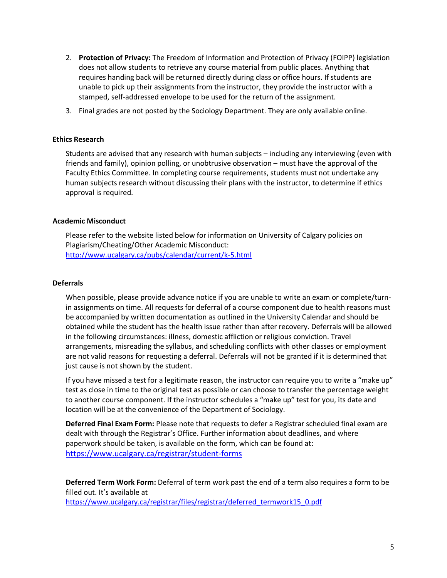- 2. **Protection of Privacy:** The Freedom of Information and Protection of Privacy (FOIPP) legislation does not allow students to retrieve any course material from public places. Anything that requires handing back will be returned directly during class or office hours. If students are unable to pick up their assignments from the instructor, they provide the instructor with a stamped, self-addressed envelope to be used for the return of the assignment.
- 3. Final grades are not posted by the Sociology Department. They are only available online.

### **Ethics Research**

Students are advised that any research with human subjects – including any interviewing (even with friends and family), opinion polling, or unobtrusive observation – must have the approval of the Faculty Ethics Committee. In completing course requirements, students must not undertake any human subjects research without discussing their plans with the instructor, to determine if ethics approval is required.

### **Academic Misconduct**

Please refer to the website listed below for information on University of Calgary policies on Plagiarism/Cheating/Other Academic Misconduct: http://www.ucalgary.ca/pubs/calendar/current/k-5.html

#### **Deferrals**

When possible, please provide advance notice if you are unable to write an exam or complete/turnin assignments on time. All requests for deferral of a course component due to health reasons must be accompanied by written documentation as outlined in the University Calendar and should be obtained while the student has the health issue rather than after recovery. Deferrals will be allowed in the following circumstances: illness, domestic affliction or religious conviction. Travel arrangements, misreading the syllabus, and scheduling conflicts with other classes or employment are not valid reasons for requesting a deferral. Deferrals will not be granted if it is determined that just cause is not shown by the student.

If you have missed a test for a legitimate reason, the instructor can require you to write a "make up" test as close in time to the original test as possible or can choose to transfer the percentage weight to another course component. If the instructor schedules a "make up" test for you, its date and location will be at the convenience of the Department of Sociology.

**Deferred Final Exam Form:** Please note that requests to defer a Registrar scheduled final exam are dealt with through the Registrar's Office. Further information about deadlines, and where paperwork should be taken, is available on the form, which can be found at: https://www.ucalgary.ca/registrar/student-forms

**Deferred Term Work Form:** Deferral of term work past the end of a term also requires a form to be filled out. It's available at

https://www.ucalgary.ca/registrar/files/registrar/deferred\_termwork15\_0.pdf